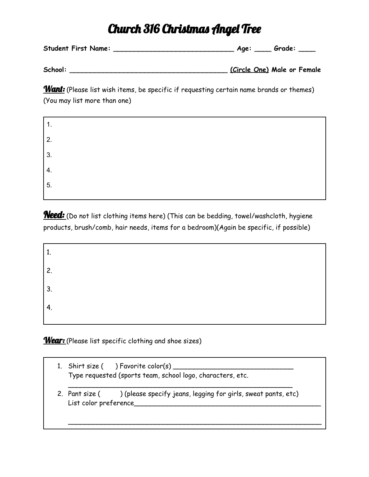## Church 316 Christmas Angel Tree

**Student First Name: \_\_\_\_\_\_\_\_\_\_\_\_\_\_\_\_\_\_\_\_\_\_\_\_\_\_\_\_\_ Age: \_\_\_\_ Grade: \_\_\_\_**

**School: \_\_\_\_\_\_\_\_\_\_\_\_\_\_\_\_\_\_\_\_\_\_\_\_\_\_\_\_\_\_\_\_\_\_\_\_\_\_ (Circle One) Male or Female**

Want: (Please list wish items, be specific if requesting certain name brands or themes) (You may list more than one)

1. 2. 3. 4. 5.

**Need:** (Do not list clothing items here) (This can be bedding, towel/washcloth, hygiene products, brush/comb, hair needs, items for a bedroom)(Again be specific, if possible)

| 1.               |  |  |
|------------------|--|--|
| $\overline{2}$ . |  |  |
| $\vert 3.$       |  |  |
| 4.               |  |  |

Wear: (Please list specific clothing and shoe sizes)

|                       | 1. Shirt size ( ) Favorite color(s) ___<br>Type requested (sports team, school logo, characters, etc. |
|-----------------------|-------------------------------------------------------------------------------------------------------|
| List color preference | 2. Pant size () (please specify jeans, legging for girls, sweat pants, etc)                           |
|                       |                                                                                                       |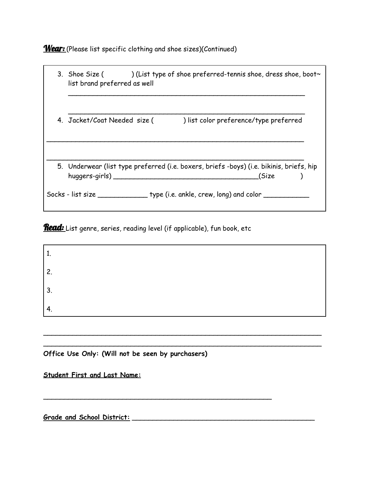Wear: (Please list specific clothing and shoe sizes)(Continued)

| 3. Shoe Size $($ ) (List type of shoe preferred-tennis shoe, dress shoe, boot~<br>list brand preferred as well |                                                                                                   |  |  |  |  |
|----------------------------------------------------------------------------------------------------------------|---------------------------------------------------------------------------------------------------|--|--|--|--|
| 4. Jacket/Coat Needed size (                                                                                   | ) list color preference/type preferred                                                            |  |  |  |  |
| huggers-girls)                                                                                                 | 5. Underwear (list type preferred (i.e. boxers, briefs -boys) (i.e. bikinis, briefs, hip<br>(Size |  |  |  |  |
|                                                                                                                |                                                                                                   |  |  |  |  |

**Read:** List genre, series, reading level (if applicable), fun book, etc

| 2<br><u>.</u> |  |  |  |
|---------------|--|--|--|
| 3.            |  |  |  |
| . .           |  |  |  |

 $\overline{\phantom{a}}$  $\overline{\phantom{a}}$ 

\_\_\_\_\_\_\_\_\_\_\_\_\_\_\_\_\_\_\_\_\_\_\_\_\_\_\_\_\_\_\_\_\_\_\_\_\_\_\_\_\_\_\_\_\_\_\_\_\_\_\_\_\_\_\_

**Office Use Only: (Will not be seen by purchasers)**

**Student First and Last Name:**

**Grade and School District:** \_\_\_\_\_\_\_\_\_\_\_\_\_\_\_\_\_\_\_\_\_\_\_\_\_\_\_\_\_\_\_\_\_\_\_\_\_\_\_\_\_\_\_\_